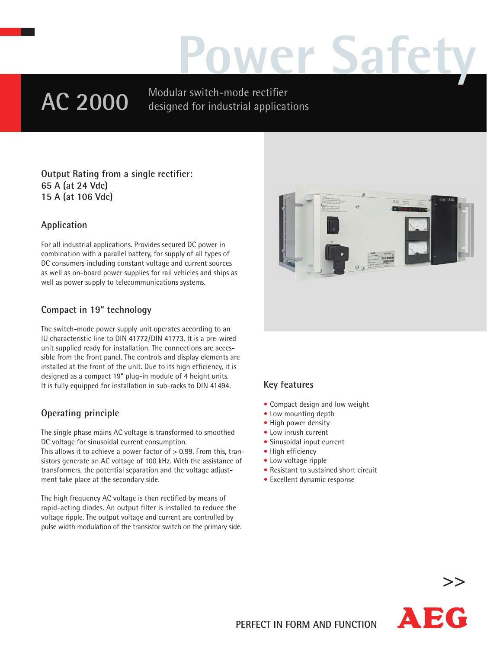# **Power Safety**

## **AC 2000**

Modular switch-mode rectifier designed for industrial applications

**Output Rating from a single rectifier: 65 A (at 24 Vdc) 15 A (at 106 Vdc)**

#### **Application**

For all industrial applications. Provides secured DC power in combination with a parallel battery, for supply of all types of DC consumers including constant voltage and current sources as well as on-board power supplies for rail vehicles and ships as well as power supply to telecommunications systems.

#### **Compact in 19" technology**

The switch-mode power supply unit operates according to an IU characteristic line to DIN 41772/DIN 41773. It is a pre-wired unit supplied ready for installation. The connections are accessible from the front panel. The controls and display elements are installed at the front of the unit. Due to its high efficiency, it is designed as a compact 19" plug-in module of 4 height units. It is fully equipped for installation in sub-racks to DIN 41494.

#### **Operating principle**

The single phase mains AC voltage is transformed to smoothed DC voltage for sinusoidal current consumption.

This allows it to achieve a power factor of > 0.99. From this, transistors generate an AC voltage of 100 kHz. With the assistance of transformers, the potential separation and the voltage adjustment take place at the secondary side.

The high frequency AC voltage is then rectified by means of rapid-acting diodes. An output filter is installed to reduce the voltage ripple. The output voltage and current are controlled by pulse width modulation of the transistor switch on the primary side.



#### **Key features**

- Compact design and low weight
- Low mounting depth
- High power density
- Low inrush current
- Sinusoidal input current
- High efficiency
- Low voltage ripple
- Resistant to sustained short circuit
- Excellent dynamic response



**>>**